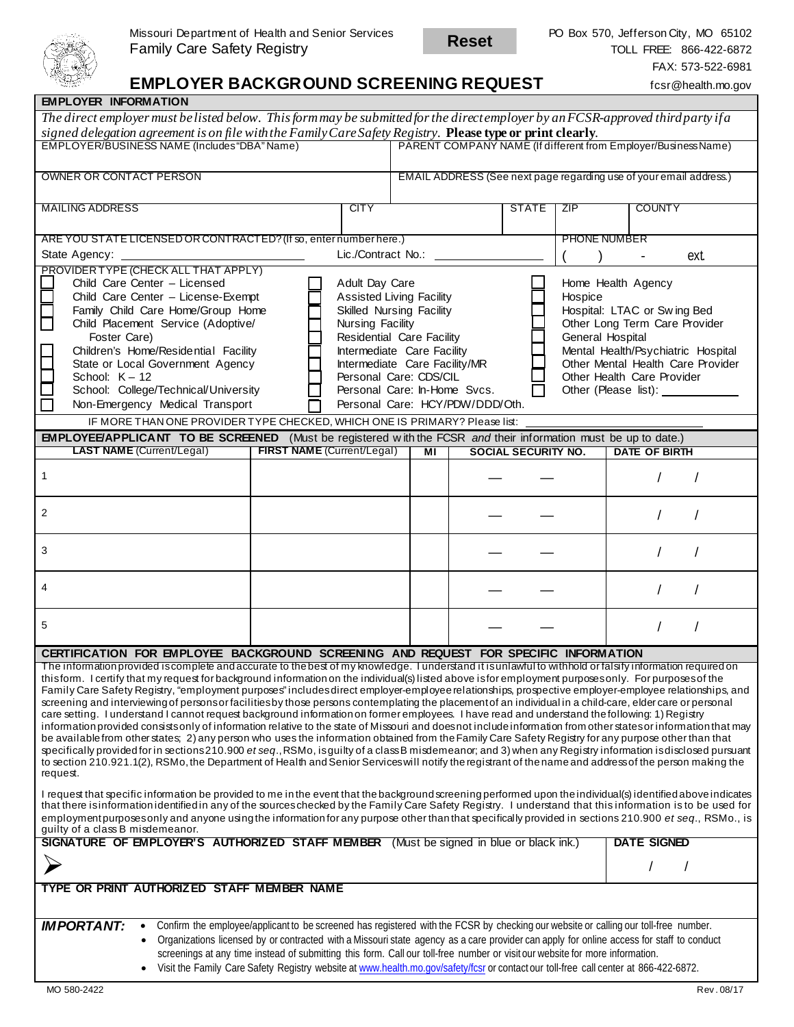

**Reset**

# **EMPLOYER BACKGROUND SCREENING REQUEST** fcsr@health.mo.gov

| <b>EMPLOYER INFORMATION</b>                                                                                                                                                                                                                                                                                            |                                    |      |                                                                    |                                                                |                            |                     |                             |  |  |
|------------------------------------------------------------------------------------------------------------------------------------------------------------------------------------------------------------------------------------------------------------------------------------------------------------------------|------------------------------------|------|--------------------------------------------------------------------|----------------------------------------------------------------|----------------------------|---------------------|-----------------------------|--|--|
| The direct employer must be listed below. This form may be submitted for the direct employer by an FCSR-approved third party if a                                                                                                                                                                                      |                                    |      |                                                                    |                                                                |                            |                     |                             |  |  |
| signed delegation agreement is on file with the Family Care Safety Registry. Please type or print clearly.                                                                                                                                                                                                             |                                    |      |                                                                    |                                                                |                            |                     |                             |  |  |
| EMPLOYER/BUSINESS NAME (Includes "DBA" Name)                                                                                                                                                                                                                                                                           |                                    |      |                                                                    | PARENT COMPANY NAME (If different from Employer/Business Name) |                            |                     |                             |  |  |
|                                                                                                                                                                                                                                                                                                                        |                                    |      |                                                                    |                                                                |                            |                     |                             |  |  |
| OWNER OR CONTACT PERSON                                                                                                                                                                                                                                                                                                |                                    |      | EMAIL ADDRESS (See next page regarding use of your email address.) |                                                                |                            |                     |                             |  |  |
|                                                                                                                                                                                                                                                                                                                        |                                    |      |                                                                    |                                                                |                            |                     |                             |  |  |
| <b>MAILING ADDRESS</b>                                                                                                                                                                                                                                                                                                 |                                    | CITY |                                                                    |                                                                | <b>STATE</b>               | ZIP                 | <b>COUNTY</b>               |  |  |
|                                                                                                                                                                                                                                                                                                                        |                                    |      |                                                                    |                                                                |                            |                     |                             |  |  |
| ARE YOU STATE LICENSED OR CONTRACTED? (If so, enter number here.)                                                                                                                                                                                                                                                      |                                    |      |                                                                    |                                                                |                            | <b>PHONE NUMBER</b> |                             |  |  |
| Lic./Contract No.:<br>State Agency:                                                                                                                                                                                                                                                                                    |                                    |      |                                                                    |                                                                |                            |                     | ext<br>٠                    |  |  |
| PROVIDER TYPE (CHECK ALL THAT APPLY)                                                                                                                                                                                                                                                                                   |                                    |      |                                                                    |                                                                |                            |                     |                             |  |  |
| Child Care Center - Licensed<br>Adult Day Care                                                                                                                                                                                                                                                                         |                                    |      |                                                                    | Home Health Agency                                             |                            |                     |                             |  |  |
|                                                                                                                                                                                                                                                                                                                        | Child Care Center - License-Exempt |      |                                                                    | <b>Assisted Living Facility</b><br>Hospice                     |                            |                     |                             |  |  |
| Family Child Care Home/Group Home                                                                                                                                                                                                                                                                                      |                                    |      | <b>Skilled Nursing Facility</b>                                    |                                                                |                            |                     | Hospital: LTAC or Swing Bed |  |  |
| Child Placement Service (Adoptive/<br>Nursing Facility                                                                                                                                                                                                                                                                 |                                    |      |                                                                    | Other Long Term Care Provider                                  |                            |                     |                             |  |  |
| General Hospital<br>Foster Care)<br>Residential Care Facility<br>Children's Home/Residential Facility<br>Intermediate Care Facility<br>Mental Health/Psychiatric Hospital                                                                                                                                              |                                    |      |                                                                    |                                                                |                            |                     |                             |  |  |
| State or Local Government Agency<br>Intermediate Care Facility/MR<br>Other Mental Health Care Provider                                                                                                                                                                                                                 |                                    |      |                                                                    |                                                                |                            |                     |                             |  |  |
| Personal Care: CDS/CIL<br>Other Health Care Provider<br>School: $K - 12$                                                                                                                                                                                                                                               |                                    |      |                                                                    |                                                                |                            |                     |                             |  |  |
| School: College/Technical/University<br>Personal Care: In-Home Svcs.                                                                                                                                                                                                                                                   |                                    |      |                                                                    |                                                                |                            |                     |                             |  |  |
| Non-Emergency Medical Transport<br>Personal Care: HCY/PDW/DDD/Oth.                                                                                                                                                                                                                                                     |                                    |      |                                                                    |                                                                |                            |                     |                             |  |  |
| IF MORE THAN ONE PROVIDER TYPE CHECKED, WHICH ONE IS PRIMARY? Please list:                                                                                                                                                                                                                                             |                                    |      |                                                                    |                                                                |                            |                     |                             |  |  |
| <b>EMPLOYEE/APPLICANT TO BE SCREENED</b> (Must be registered with the FCSR and their information must be up to date.)                                                                                                                                                                                                  |                                    |      |                                                                    |                                                                |                            |                     |                             |  |  |
| <b>LAST NAME</b> (Current/Legal)                                                                                                                                                                                                                                                                                       | FIRST NAME (Current/Legal)         |      | MI                                                                 |                                                                | <b>SOCIAL SECURITY NO.</b> |                     | DATE OF BIRTH               |  |  |
|                                                                                                                                                                                                                                                                                                                        |                                    |      |                                                                    |                                                                |                            |                     |                             |  |  |
| 1                                                                                                                                                                                                                                                                                                                      |                                    |      |                                                                    |                                                                |                            |                     |                             |  |  |
|                                                                                                                                                                                                                                                                                                                        |                                    |      |                                                                    |                                                                |                            |                     |                             |  |  |
| 2                                                                                                                                                                                                                                                                                                                      |                                    |      |                                                                    |                                                                |                            |                     |                             |  |  |
|                                                                                                                                                                                                                                                                                                                        |                                    |      |                                                                    |                                                                |                            |                     |                             |  |  |
|                                                                                                                                                                                                                                                                                                                        |                                    |      |                                                                    |                                                                |                            |                     |                             |  |  |
| 3                                                                                                                                                                                                                                                                                                                      |                                    |      |                                                                    |                                                                |                            |                     |                             |  |  |
|                                                                                                                                                                                                                                                                                                                        |                                    |      |                                                                    |                                                                |                            |                     |                             |  |  |
| 4                                                                                                                                                                                                                                                                                                                      |                                    |      |                                                                    |                                                                |                            |                     |                             |  |  |
|                                                                                                                                                                                                                                                                                                                        |                                    |      |                                                                    |                                                                |                            |                     |                             |  |  |
|                                                                                                                                                                                                                                                                                                                        |                                    |      |                                                                    |                                                                |                            |                     |                             |  |  |
| 5                                                                                                                                                                                                                                                                                                                      |                                    |      |                                                                    |                                                                |                            |                     |                             |  |  |
|                                                                                                                                                                                                                                                                                                                        |                                    |      |                                                                    |                                                                |                            |                     |                             |  |  |
| CERTIFICATION FOR EMPLOYEE BACKGROUND SCREENING AND REQUEST FOR SPECIFIC INFORMATION<br>The information provided is complete and accurate to the best of my knowledge. I understand it is unlawful to withhold or falsify information required on                                                                      |                                    |      |                                                                    |                                                                |                            |                     |                             |  |  |
| thisform. I certify that my request for background information on the individual(s) listed above isfor employment purposes only. For purposes of the                                                                                                                                                                   |                                    |      |                                                                    |                                                                |                            |                     |                             |  |  |
|                                                                                                                                                                                                                                                                                                                        |                                    |      |                                                                    |                                                                |                            |                     |                             |  |  |
| Family Care Safety Registry, "employment purposes" includes direct employer-employee relationships, prospective employer-employee relationships, and<br>screening and interviewing of persons or facilities by those persons contemplating the placement of an individual in a child-care, elder care or personal      |                                    |      |                                                                    |                                                                |                            |                     |                             |  |  |
| care setting. I understand I cannot request background information on former employees. I have read and understand the following: 1) Registry                                                                                                                                                                          |                                    |      |                                                                    |                                                                |                            |                     |                             |  |  |
| information provided consists only of information relative to the state of Missouri and does not include information from other states or information that may                                                                                                                                                         |                                    |      |                                                                    |                                                                |                            |                     |                             |  |  |
| be available from other states; 2) any person who uses the information obtained from the Family Care Safety Registry for any purpose other than that                                                                                                                                                                   |                                    |      |                                                                    |                                                                |                            |                     |                             |  |  |
| specifically provided for in sections 210.900 et seq., RSMo, is guilty of a class B misdemeanor; and 3) when any Registry information is disclosed pursuant<br>to section 210.921.1(2), RSMo, the Department of Health and Senior Services will notify the registrant of the name and address of the person making the |                                    |      |                                                                    |                                                                |                            |                     |                             |  |  |
| request.                                                                                                                                                                                                                                                                                                               |                                    |      |                                                                    |                                                                |                            |                     |                             |  |  |
| I request that specific information be provided to me in the event that the background screening performed upon the individual(s) identified above indicates                                                                                                                                                           |                                    |      |                                                                    |                                                                |                            |                     |                             |  |  |
| that there isinformation identified in any of the sources checked by the Family Care Safety Registry. I understand that this information is to be used for                                                                                                                                                             |                                    |      |                                                                    |                                                                |                            |                     |                             |  |  |
| employmentpurposes only and anyone using the information for any purpose other than that specifically provided in sections 210.900 et seq., RSMo., is                                                                                                                                                                  |                                    |      |                                                                    |                                                                |                            |                     |                             |  |  |
| guilty of a class B misdemeanor.                                                                                                                                                                                                                                                                                       |                                    |      |                                                                    |                                                                |                            |                     |                             |  |  |
| <b>SIGNATURE OF EMPLOYER'S AUTHORIZED STAFF MEMBER</b> (Must be signed in blue or black ink.)                                                                                                                                                                                                                          |                                    |      |                                                                    |                                                                |                            |                     | <b>DATE SIGNED</b>          |  |  |
|                                                                                                                                                                                                                                                                                                                        |                                    |      |                                                                    |                                                                |                            |                     |                             |  |  |
|                                                                                                                                                                                                                                                                                                                        |                                    |      |                                                                    |                                                                |                            |                     |                             |  |  |
| TYPE OR PRINT AUTHORIZED STAFF MEMBER NAME                                                                                                                                                                                                                                                                             |                                    |      |                                                                    |                                                                |                            |                     |                             |  |  |
|                                                                                                                                                                                                                                                                                                                        |                                    |      |                                                                    |                                                                |                            |                     |                             |  |  |
| Confirm the employee/applicant to be screened has registered with the FCSR by checking our website or calling our toll-free number.<br><b>IMPORTANT:</b>                                                                                                                                                               |                                    |      |                                                                    |                                                                |                            |                     |                             |  |  |
| Organizations licensed by or contracted with a Missouri state agency as a care provider can apply for online access for staff to conduct<br>$\bullet$                                                                                                                                                                  |                                    |      |                                                                    |                                                                |                            |                     |                             |  |  |
| screenings at any time instead of submitting this form. Call our toll-free number or visit our website for more information.                                                                                                                                                                                           |                                    |      |                                                                    |                                                                |                            |                     |                             |  |  |
| Visit the Family Care Safety Registry website at www.health.mo.gov/safety/fcsr or contact our toll-free call center at 866-422-6872.<br>$\bullet$                                                                                                                                                                      |                                    |      |                                                                    |                                                                |                            |                     |                             |  |  |